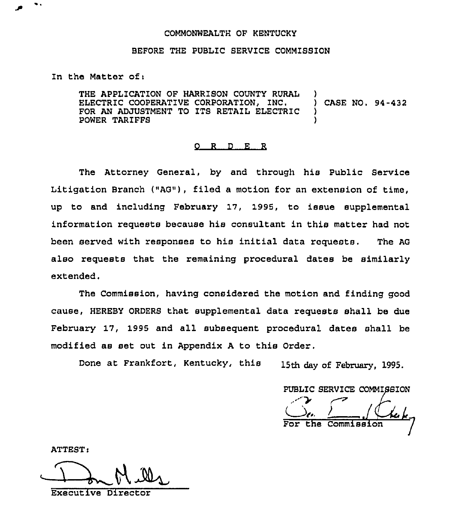## COMMONWEALTH OF KENTUCKY

## BEFORE THE PUBLIC SERVICE COMMISSION

In the Matter of:

THE APPLICATION OF HARRISON COUNTY RURAL ELECTRIC COOPERATIVE CORPORATION, INC. FOR AN ADJUSTMENT TO ITS RETAIL ELECTRIC POWER TARIFFS ) ) CASE NO. 94-432 ) )

## 0 R <sup>D</sup> E R

The Attorney General, by and through his Public Service Litigation Branch ("AG"), filed a motion for an extension of time, up to and including February 17, 1995, to issue supplemental information requests because his consultant in this matter had not been served with responses to his initial data requests. The AG also requests that the remaining procedural dates be similarly extended.

The Commission, having considered the motion and finding good cause, HEREBY ORDERS that supplemental data requests shall be due February 17, 1995 and all subsequent procedural dates shall be modified as set out in Appendix <sup>A</sup> to this Order.

Done at Frankfort, Kentucky, this 15th day of February. 1995.

PUBLIC SERVICE COMMISSION ./ I, the Commission

ATTEST

Executive Director